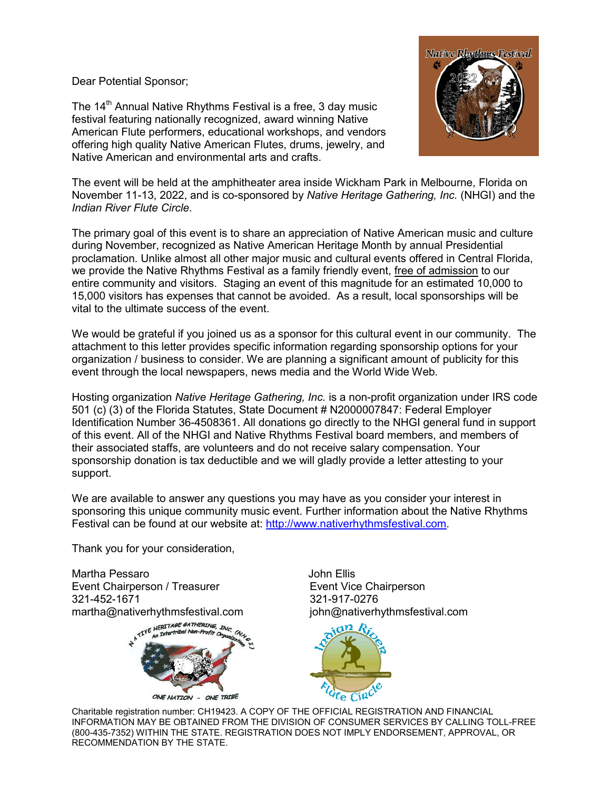Dear Potential Sponsor;

The 14<sup>th</sup> Annual Native Rhythms Festival is a free, 3 day music festival featuring nationally recognized, award winning Native American Flute performers, educational workshops, and vendors offering high quality Native American Flutes, drums, jewelry, and Native American and environmental arts and crafts.



The event will be held at the amphitheater area inside Wickham Park in Melbourne, Florida on November 11-13, 2022, and is co-sponsored by *Native Heritage Gathering, Inc.* (NHGI) and the *Indian River Flute Circle*.

The primary goal of this event is to share an appreciation of Native American music and culture during November, recognized as Native American Heritage Month by annual Presidential proclamation. Unlike almost all other major music and cultural events offered in Central Florida, we provide the Native Rhythms Festival as a family friendly event, free of admission to our entire community and visitors. Staging an event of this magnitude for an estimated 10,000 to 15,000 visitors has expenses that cannot be avoided. As a result, local sponsorships will be vital to the ultimate success of the event.

We would be grateful if you joined us as a sponsor for this cultural event in our community. The attachment to this letter provides specific information regarding sponsorship options for your organization / business to consider. We are planning a significant amount of publicity for this event through the local newspapers, news media and the World Wide Web.

Hosting organization *Native Heritage Gathering, Inc.* is a non-profit organization under IRS code 501 (c) (3) of the Florida Statutes, State Document # N2000007847: Federal Employer Identification Number 36-4508361. All donations go directly to the NHGI general fund in support of this event. All of the NHGI and Native Rhythms Festival board members, and members of their associated staffs, are volunteers and do not receive salary compensation. Your sponsorship donation is tax deductible and we will gladly provide a letter attesting to your support.

We are available to answer any questions you may have as you consider your interest in sponsoring this unique community music event. Further information about the Native Rhythms Festival can be found at our website at: http://www.nativerhythmsfestival.com.

Thank you for your consideration,

Martha Pessaro **Martha Pessaro Accessity** do Martha Pessaro **John Ellis** Event Chairperson / Treasurer **Event Vice Chairperson** 321-452-1671 321-917-0276 martha@nativerhythmsfestival.com john@nativerhythmsfestival.com<br> $\frac{1}{2}$  in  $\frac{1}{2}$  and  $\frac{1}{2}$  and  $\frac{1}{2}$  and  $\frac{1}{2}$  and  $\frac{1}{2}$  and  $\frac{1}{2}$  and  $\frac{1}{2}$  and  $\frac{1}{2}$  and  $\frac{1}{2}$  and  $\frac{1}{2}$  and  $\frac{$ 





Charitable registration number: CH19423. A COPY OF THE OFFICIAL REGISTRATION AND FINANCIAL INFORMATION MAY BE OBTAINED FROM THE DIVISION OF CONSUMER SERVICES BY CALLING TOLL-FREE (800-435-7352) WITHIN THE STATE. REGISTRATION DOES NOT IMPLY ENDORSEMENT, APPROVAL, OR RECOMMENDATION BY THE STATE.